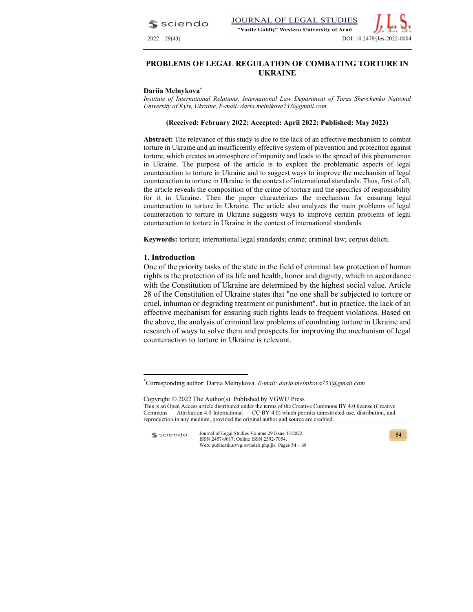$S$  sciendo



#### Dariia Melnykova<sup>\*</sup>

Institute of International Relations, International Law Department of Taras Shevchenko National University of Kyiv, Ukraine, E-mail: daria.melnikova733@gmail.com

#### (Received: February 2022; Accepted: April 2022; Published: May 2022)

Abstract: The relevance of this study is due to the lack of an effective mechanism to combat torture in Ukraine and an insufficiently effective system of prevention and protection against torture, which creates an atmosphere of impunity and leads to the spread of this phenomenon in Ukraine. The purpose of the article is to explore the problematic aspects of legal counteraction to torture in Ukraine and to suggest ways to improve the mechanism of legal counteraction to torture in Ukraine in the context of international standards. Thus, first of all, the article reveals the composition of the crime of torture and the specifics of responsibility for it in Ukraine. Then the paper characterizes the mechanism for ensuring legal counteraction to torture in Ukraine. The article also analyzes the main problems of legal counteraction to torture in Ukraine suggests ways to improve certain problems of legal counteraction to torture in Ukraine in the context of international standards.

Keywords: torture; international legal standards; crime; criminal law; corpus delicti.

#### 1. Introduction

One of the priority tasks of the state in the field of criminal law protection of human rights is the protection of its life and health, honor and dignity, which in accordance with the Constitution of Ukraine are determined by the highest social value. Article 28 of the Constitution of Ukraine states that "no one shall be subjected to torture or cruel, inhuman or degrading treatment or punishment", but in practice, the lack of an effective mechanism for ensuring such rights leads to frequent violations. Based on the above, the analysis of criminal law problems of combating torture in Ukraine and research of ways to solve them and prospects for improving the mechanism of legal counteraction to torture in Ukraine is relevant.



<sup>\*</sup>Corresponding author: Dariia Melnykova. E-mail: daria.melnikova733@gmail.com

Copyright © 2022 The Author(s). Published by VGWU Press This is an Open Access article distributed under the terms of the Creative Commons BY 4.0 license (Creative Commons — Attribution 4.0 International — CC BY 4.0) which permits unrestricted use, distribution, and reproduction in any medium, provided the original author and source are credited.

Journal of Legal Studies Volume 29 Issue 43/2022 **S** sciendo ISSN 2457-9017; Online ISSN 2392-7054. Web: publicatii.uvvg.ro/index.php/jls. Pages 54 – 68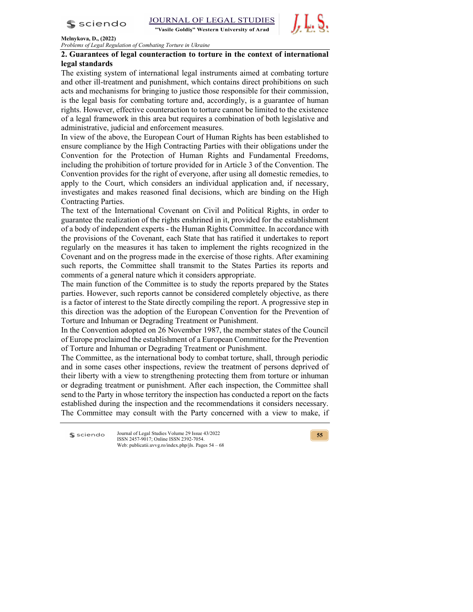

"Vasile Goldiș" Western University of Arad



#### Melnykova, D., (2022)

Problems of Legal Regulation of Combating Torture in Ukraine

## 2. Guarantees of legal counteraction to torture in the context of international legal standards

The existing system of international legal instruments aimed at combating torture and other ill-treatment and punishment, which contains direct prohibitions on such acts and mechanisms for bringing to justice those responsible for their commission, is the legal basis for combating torture and, accordingly, is a guarantee of human rights. However, effective counteraction to torture cannot be limited to the existence of a legal framework in this area but requires a combination of both legislative and administrative, judicial and enforcement measures.

In view of the above, the European Court of Human Rights has been established to ensure compliance by the High Contracting Parties with their obligations under the Convention for the Protection of Human Rights and Fundamental Freedoms, including the prohibition of torture provided for in Article 3 of the Convention. The Convention provides for the right of everyone, after using all domestic remedies, to apply to the Court, which considers an individual application and, if necessary, investigates and makes reasoned final decisions, which are binding on the High Contracting Parties.

The text of the International Covenant on Civil and Political Rights, in order to guarantee the realization of the rights enshrined in it, provided for the establishment of a body of independent experts - the Human Rights Committee. In accordance with the provisions of the Covenant, each State that has ratified it undertakes to report regularly on the measures it has taken to implement the rights recognized in the Covenant and on the progress made in the exercise of those rights. After examining such reports, the Committee shall transmit to the States Parties its reports and comments of a general nature which it considers appropriate.

The main function of the Committee is to study the reports prepared by the States parties. However, such reports cannot be considered completely objective, as there is a factor of interest to the State directly compiling the report. A progressive step in this direction was the adoption of the European Convention for the Prevention of Torture and Inhuman or Degrading Treatment or Punishment.

In the Convention adopted on 26 November 1987, the member states of the Council of Europe proclaimed the establishment of a European Committee for the Prevention of Torture and Inhuman or Degrading Treatment or Punishment.

The Committee, as the international body to combat torture, shall, through periodic and in some cases other inspections, review the treatment of persons deprived of their liberty with a view to strengthening protecting them from torture or inhuman or degrading treatment or punishment. After each inspection, the Committee shall send to the Party in whose territory the inspection has conducted a report on the facts established during the inspection and the recommendations it considers necessary. The Committee may consult with the Party concerned with a view to make, if

 $s$  sciendo

Journal of Legal Studies Volume 29 Issue 43/2022 ISSN 2457-9017; Online ISSN 2392-7054. Web: publicatii.uvvg.ro/index.php/jls. Pages 54 – 68

 $55$   $\overline{\phantom{a}}$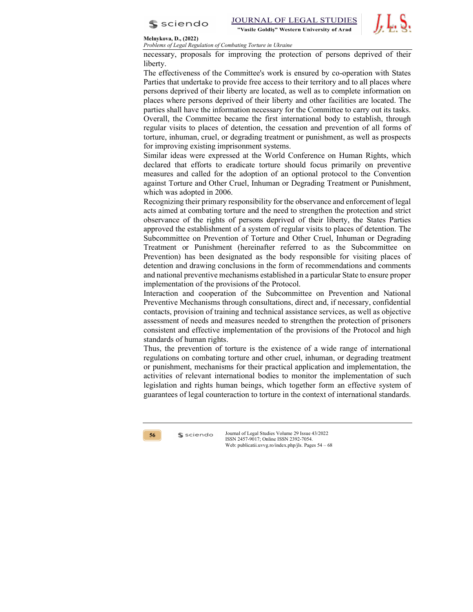



Problems of Legal Regulation of Combating Torture in Ukraine

necessary, proposals for improving the protection of persons deprived of their liberty.

The effectiveness of the Committee's work is ensured by co-operation with States Parties that undertake to provide free access to their territory and to all places where persons deprived of their liberty are located, as well as to complete information on places where persons deprived of their liberty and other facilities are located. The parties shall have the information necessary for the Committee to carry out its tasks. Overall, the Committee became the first international body to establish, through regular visits to places of detention, the cessation and prevention of all forms of torture, inhuman, cruel, or degrading treatment or punishment, as well as prospects for improving existing imprisonment systems.

Similar ideas were expressed at the World Conference on Human Rights, which declared that efforts to eradicate torture should focus primarily on preventive measures and called for the adoption of an optional protocol to the Convention against Torture and Other Cruel, Inhuman or Degrading Treatment or Punishment, which was adopted in 2006.

Recognizing their primary responsibility for the observance and enforcement of legal acts aimed at combating torture and the need to strengthen the protection and strict observance of the rights of persons deprived of their liberty, the States Parties approved the establishment of a system of regular visits to places of detention. The Subcommittee on Prevention of Torture and Other Cruel, Inhuman or Degrading Treatment or Punishment (hereinafter referred to as the Subcommittee on Prevention) has been designated as the body responsible for visiting places of detention and drawing conclusions in the form of recommendations and comments and national preventive mechanisms established in a particular State to ensure proper implementation of the provisions of the Protocol.

Interaction and cooperation of the Subcommittee on Prevention and National Preventive Mechanisms through consultations, direct and, if necessary, confidential contacts, provision of training and technical assistance services, as well as objective assessment of needs and measures needed to strengthen the protection of prisoners consistent and effective implementation of the provisions of the Protocol and high standards of human rights.

Thus, the prevention of torture is the existence of a wide range of international regulations on combating torture and other cruel, inhuman, or degrading treatment or punishment, mechanisms for their practical application and implementation, the activities of relevant international bodies to monitor the implementation of such legislation and rights human beings, which together form an effective system of guarantees of legal counteraction to torture in the context of international standards.

56 Ssciendo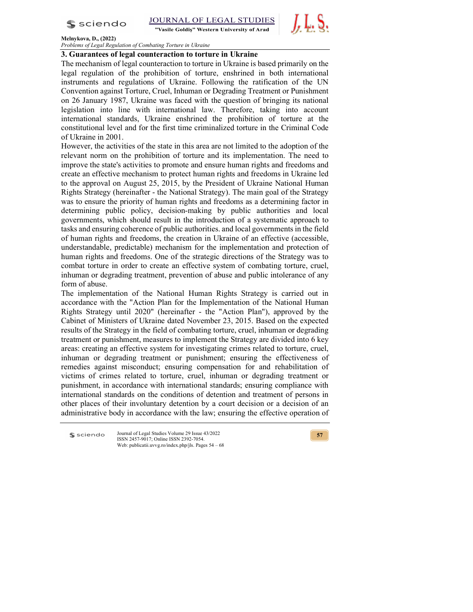

"Vasile Goldiș" Western University of Arad



#### Melnykova, D., (2022)

Problems of Legal Regulation of Combating Torture in Ukraine

## 3. Guarantees of legal counteraction to torture in Ukraine

The mechanism of legal counteraction to torture in Ukraine is based primarily on the legal regulation of the prohibition of torture, enshrined in both international instruments and regulations of Ukraine. Following the ratification of the UN Convention against Torture, Cruel, Inhuman or Degrading Treatment or Punishment on 26 January 1987, Ukraine was faced with the question of bringing its national legislation into line with international law. Therefore, taking into account international standards, Ukraine enshrined the prohibition of torture at the constitutional level and for the first time criminalized torture in the Criminal Code of Ukraine in 2001.

However, the activities of the state in this area are not limited to the adoption of the relevant norm on the prohibition of torture and its implementation. The need to improve the state's activities to promote and ensure human rights and freedoms and create an effective mechanism to protect human rights and freedoms in Ukraine led to the approval on August 25, 2015, by the President of Ukraine National Human Rights Strategy (hereinafter - the National Strategy). The main goal of the Strategy was to ensure the priority of human rights and freedoms as a determining factor in determining public policy, decision-making by public authorities and local governments, which should result in the introduction of a systematic approach to tasks and ensuring coherence of public authorities. and local governments in the field of human rights and freedoms, the creation in Ukraine of an effective (accessible, understandable, predictable) mechanism for the implementation and protection of human rights and freedoms. One of the strategic directions of the Strategy was to combat torture in order to create an effective system of combating torture, cruel, inhuman or degrading treatment, prevention of abuse and public intolerance of any form of abuse.

The implementation of the National Human Rights Strategy is carried out in accordance with the "Action Plan for the Implementation of the National Human Rights Strategy until 2020" (hereinafter - the "Action Plan"), approved by the Cabinet of Ministers of Ukraine dated November 23, 2015. Based on the expected results of the Strategy in the field of combating torture, cruel, inhuman or degrading treatment or punishment, measures to implement the Strategy are divided into 6 key areas: creating an effective system for investigating crimes related to torture, cruel, inhuman or degrading treatment or punishment; ensuring the effectiveness of remedies against misconduct; ensuring compensation for and rehabilitation of victims of crimes related to torture, cruel, inhuman or degrading treatment or punishment, in accordance with international standards; ensuring compliance with international standards on the conditions of detention and treatment of persons in other places of their involuntary detention by a court decision or a decision of an administrative body in accordance with the law; ensuring the effective operation of

 $s$  sciendo

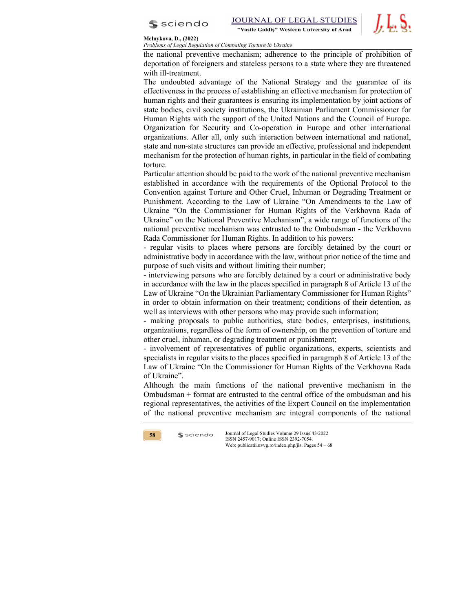

Problems of Legal Regulation of Combating Torture in Ukraine

the national preventive mechanism; adherence to the principle of prohibition of deportation of foreigners and stateless persons to a state where they are threatened with ill-treatment.

The undoubted advantage of the National Strategy and the guarantee of its effectiveness in the process of establishing an effective mechanism for protection of human rights and their guarantees is ensuring its implementation by joint actions of state bodies, civil society institutions, the Ukrainian Parliament Commissioner for Human Rights with the support of the United Nations and the Council of Europe. Organization for Security and Co-operation in Europe and other international organizations. After all, only such interaction between international and national, state and non-state structures can provide an effective, professional and independent mechanism for the protection of human rights, in particular in the field of combating torture.

Particular attention should be paid to the work of the national preventive mechanism established in accordance with the requirements of the Optional Protocol to the Convention against Torture and Other Cruel, Inhuman or Degrading Treatment or Punishment. According to the Law of Ukraine "On Amendments to the Law of Ukraine "On the Commissioner for Human Rights of the Verkhovna Rada of Ukraine" on the National Preventive Mechanism", a wide range of functions of the national preventive mechanism was entrusted to the Ombudsman - the Verkhovna Rada Commissioner for Human Rights. In addition to his powers:

- regular visits to places where persons are forcibly detained by the court or administrative body in accordance with the law, without prior notice of the time and purpose of such visits and without limiting their number;

- interviewing persons who are forcibly detained by a court or administrative body in accordance with the law in the places specified in paragraph 8 of Article 13 of the Law of Ukraine "On the Ukrainian Parliamentary Commissioner for Human Rights" in order to obtain information on their treatment; conditions of their detention, as well as interviews with other persons who may provide such information;

- making proposals to public authorities, state bodies, enterprises, institutions, organizations, regardless of the form of ownership, on the prevention of torture and other cruel, inhuman, or degrading treatment or punishment;

- involvement of representatives of public organizations, experts, scientists and specialists in regular visits to the places specified in paragraph 8 of Article 13 of the Law of Ukraine "On the Commissioner for Human Rights of the Verkhovna Rada of Ukraine".

Although the main functions of the national preventive mechanism in the Ombudsman + format are entrusted to the central office of the ombudsman and his regional representatives, the activities of the Expert Council on the implementation of the national preventive mechanism are integral components of the national

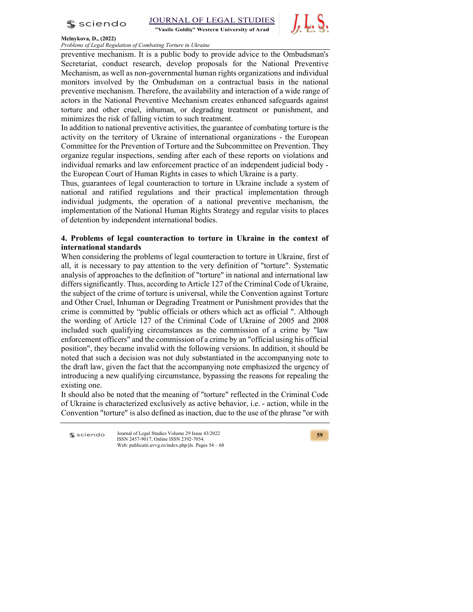

"Vasile Goldiș" Western University of Arad



### Melnykova, D., (2022)

Problems of Legal Regulation of Combating Torture in Ukraine

preventive mechanism. It is a public body to provide advice to the Ombudsman's Secretariat, conduct research, develop proposals for the National Preventive Mechanism, as well as non-governmental human rights organizations and individual monitors involved by the Ombudsman on a contractual basis in the national preventive mechanism. Therefore, the availability and interaction of a wide range of actors in the National Preventive Mechanism creates enhanced safeguards against torture and other cruel, inhuman, or degrading treatment or punishment, and minimizes the risk of falling victim to such treatment.

In addition to national preventive activities, the guarantee of combating torture is the activity on the territory of Ukraine of international organizations - the European Committee for the Prevention of Torture and the Subcommittee on Prevention. They organize regular inspections, sending after each of these reports on violations and individual remarks and law enforcement practice of an independent judicial body the European Court of Human Rights in cases to which Ukraine is a party.

Thus, guarantees of legal counteraction to torture in Ukraine include a system of national and ratified regulations and their practical implementation through individual judgments, the operation of a national preventive mechanism, the implementation of the National Human Rights Strategy and regular visits to places of detention by independent international bodies.

## 4. Problems of legal counteraction to torture in Ukraine in the context of international standards

When considering the problems of legal counteraction to torture in Ukraine, first of all, it is necessary to pay attention to the very definition of "torture". Systematic analysis of approaches to the definition of "torture" in national and international law differs significantly. Thus, according to Article 127 of the Criminal Code of Ukraine, the subject of the crime of torture is universal, while the Convention against Torture and Other Cruel, Inhuman or Degrading Treatment or Punishment provides that the crime is committed by "public officials or others which act as official ". Although the wording of Article 127 of the Criminal Code of Ukraine of 2005 and 2008 included such qualifying circumstances as the commission of a crime by "law enforcement officers" and the commission of a crime by an "official using his official position", they became invalid with the following versions. In addition, it should be noted that such a decision was not duly substantiated in the accompanying note to the draft law, given the fact that the accompanying note emphasized the urgency of introducing a new qualifying circumstance, bypassing the reasons for repealing the existing one.

It should also be noted that the meaning of "torture" reflected in the Criminal Code of Ukraine is characterized exclusively as active behavior, i.e. - action, while in the Convention "torture" is also defined as inaction, due to the use of the phrase "or with

 $s$  sciendo

Journal of Legal Studies Volume 29 Issue 43/2022 ISSN 2457-9017; Online ISSN 2392-7054. Web: publicatii.uvvg.ro/index.php/jls. Pages 54 – 68

 $59$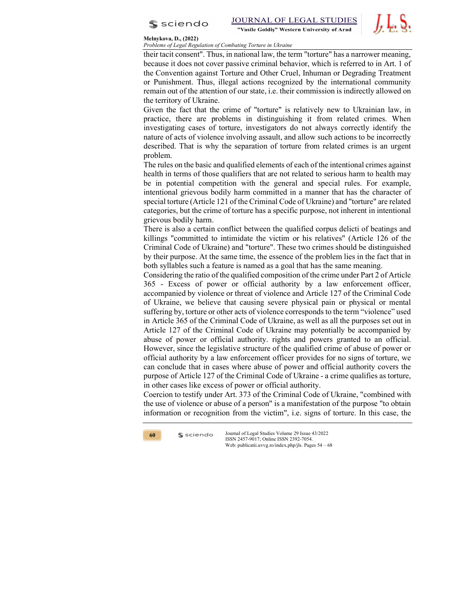

Problems of Legal Regulation of Combating Torture in Ukraine

their tacit consent". Thus, in national law, the term "torture" has a narrower meaning, because it does not cover passive criminal behavior, which is referred to in Art. 1 of the Convention against Torture and Other Cruel, Inhuman or Degrading Treatment or Punishment. Thus, illegal actions recognized by the international community remain out of the attention of our state, i.e. their commission is indirectly allowed on the territory of Ukraine.

Given the fact that the crime of "torture" is relatively new to Ukrainian law, in practice, there are problems in distinguishing it from related crimes. When investigating cases of torture, investigators do not always correctly identify the nature of acts of violence involving assault, and allow such actions to be incorrectly described. That is why the separation of torture from related crimes is an urgent problem.

The rules on the basic and qualified elements of each of the intentional crimes against health in terms of those qualifiers that are not related to serious harm to health may be in potential competition with the general and special rules. For example, intentional grievous bodily harm committed in a manner that has the character of special torture (Article 121 of the Criminal Code of Ukraine) and "torture" are related categories, but the crime of torture has a specific purpose, not inherent in intentional grievous bodily harm.

There is also a certain conflict between the qualified corpus delicti of beatings and killings "committed to intimidate the victim or his relatives" (Article 126 of the Criminal Code of Ukraine) and "torture". These two crimes should be distinguished by their purpose. At the same time, the essence of the problem lies in the fact that in both syllables such a feature is named as a goal that has the same meaning.

Considering the ratio of the qualified composition of the crime under Part 2 of Article 365 - Excess of power or official authority by a law enforcement officer, accompanied by violence or threat of violence and Article 127 of the Criminal Code of Ukraine, we believe that causing severe physical pain or physical or mental suffering by, torture or other acts of violence corresponds to the term "violence" used in Article 365 of the Criminal Code of Ukraine, as well as all the purposes set out in Article 127 of the Criminal Code of Ukraine may potentially be accompanied by abuse of power or official authority. rights and powers granted to an official. However, since the legislative structure of the qualified crime of abuse of power or official authority by a law enforcement officer provides for no signs of torture, we can conclude that in cases where abuse of power and official authority covers the purpose of Article 127 of the Criminal Code of Ukraine - a crime qualifies as torture, in other cases like excess of power or official authority.

Coercion to testify under Art. 373 of the Criminal Code of Ukraine, "combined with the use of violence or abuse of a person" is a manifestation of the purpose "to obtain information or recognition from the victim", i.e. signs of torture. In this case, the

60 Ssciendo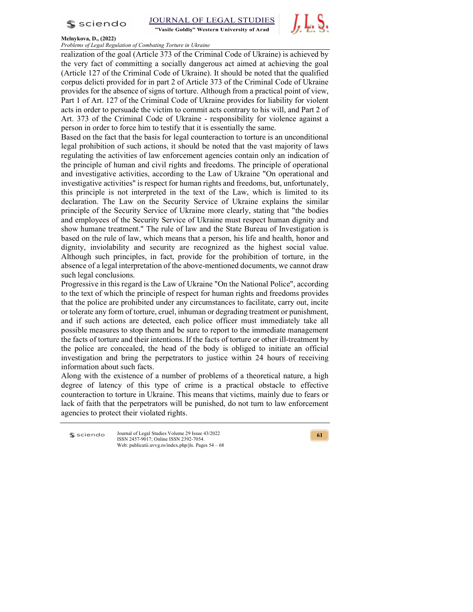

"Vasile Goldiș" Western University of Arad



### Melnykova, D., (2022)

Problems of Legal Regulation of Combating Torture in Ukraine

realization of the goal (Article 373 of the Criminal Code of Ukraine) is achieved by the very fact of committing a socially dangerous act aimed at achieving the goal (Article 127 of the Criminal Code of Ukraine). It should be noted that the qualified corpus delicti provided for in part 2 of Article 373 of the Criminal Code of Ukraine provides for the absence of signs of torture. Although from a practical point of view, Part 1 of Art. 127 of the Criminal Code of Ukraine provides for liability for violent acts in order to persuade the victim to commit acts contrary to his will, and Part 2 of Art. 373 of the Criminal Code of Ukraine - responsibility for violence against a person in order to force him to testify that it is essentially the same.

Based on the fact that the basis for legal counteraction to torture is an unconditional legal prohibition of such actions, it should be noted that the vast majority of laws regulating the activities of law enforcement agencies contain only an indication of the principle of human and civil rights and freedoms. The principle of operational and investigative activities, according to the Law of Ukraine "On operational and investigative activities" is respect for human rights and freedoms, but, unfortunately, this principle is not interpreted in the text of the Law, which is limited to its declaration. The Law on the Security Service of Ukraine explains the similar principle of the Security Service of Ukraine more clearly, stating that "the bodies and employees of the Security Service of Ukraine must respect human dignity and show humane treatment." The rule of law and the State Bureau of Investigation is based on the rule of law, which means that a person, his life and health, honor and dignity, inviolability and security are recognized as the highest social value. Although such principles, in fact, provide for the prohibition of torture, in the absence of a legal interpretation of the above-mentioned documents, we cannot draw such legal conclusions.

Progressive in this regard is the Law of Ukraine "On the National Police", according to the text of which the principle of respect for human rights and freedoms provides that the police are prohibited under any circumstances to facilitate, carry out, incite or tolerate any form of torture, cruel, inhuman or degrading treatment or punishment, and if such actions are detected, each police officer must immediately take all possible measures to stop them and be sure to report to the immediate management the facts of torture and their intentions. If the facts of torture or other ill-treatment by the police are concealed, the head of the body is obliged to initiate an official investigation and bring the perpetrators to justice within 24 hours of receiving information about such facts.

Along with the existence of a number of problems of a theoretical nature, a high degree of latency of this type of crime is a practical obstacle to effective counteraction to torture in Ukraine. This means that victims, mainly due to fears or lack of faith that the perpetrators will be punished, do not turn to law enforcement agencies to protect their violated rights.

 $s$  sciendo

Journal of Legal Studies Volume 29 Issue 43/2022 ISSN 2457-9017; Online ISSN 2392-7054. Web: publicatii.uvvg.ro/index.php/jls. Pages 54 – 68

61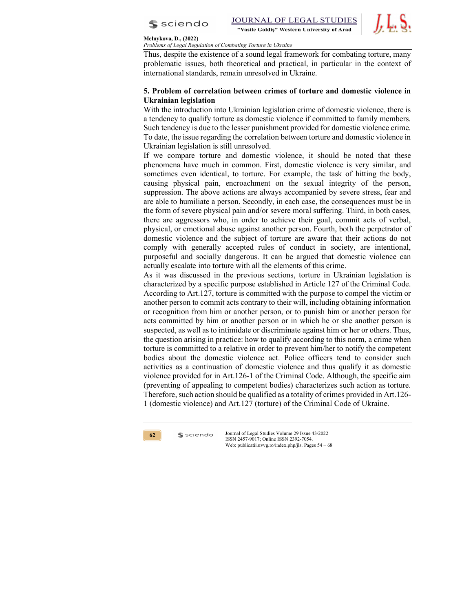



Problems of Legal Regulation of Combating Torture in Ukraine

Thus, despite the existence of a sound legal framework for combating torture, many problematic issues, both theoretical and practical, in particular in the context of international standards, remain unresolved in Ukraine.

# 5. Problem of correlation between crimes of torture and domestic violence in Ukrainian legislation

With the introduction into Ukrainian legislation crime of domestic violence, there is a tendency to qualify torture as domestic violence if committed to family members. Such tendency is due to the lesser punishment provided for domestic violence crime. To date, the issue regarding the correlation between torture and domestic violence in Ukrainian legislation is still unresolved.

If we compare torture and domestic violence, it should be noted that these phenomena have much in common. First, domestic violence is very similar, and sometimes even identical, to torture. For example, the task of hitting the body, causing physical pain, encroachment on the sexual integrity of the person, suppression. The above actions are always accompanied by severe stress, fear and are able to humiliate a person. Secondly, in each case, the consequences must be in the form of severe physical pain and/or severe moral suffering. Third, in both cases, there are aggressors who, in order to achieve their goal, commit acts of verbal, physical, or emotional abuse against another person. Fourth, both the perpetrator of domestic violence and the subject of torture are aware that their actions do not comply with generally accepted rules of conduct in society, are intentional, purposeful and socially dangerous. It can be argued that domestic violence can actually escalate into torture with all the elements of this crime.

As it was discussed in the previous sections, torture in Ukrainian legislation is characterized by a specific purpose established in Article 127 of the Criminal Code. According to Art.127, torture is committed with the purpose to compel the victim or another person to commit acts contrary to their will, including obtaining information or recognition from him or another person, or to punish him or another person for acts committed by him or another person or in which he or she another person is suspected, as well as to intimidate or discriminate against him or her or others. Thus, the question arising in practice: how to qualify according to this norm, a crime when torture is committed to a relative in order to prevent him/her to notify the competent bodies about the domestic violence act. Police officers tend to consider such activities as a continuation of domestic violence and thus qualify it as domestic violence provided for in Art.126-1 of the Criminal Code. Although, the specific aim (preventing of appealing to competent bodies) characterizes such action as torture. Therefore, such action should be qualified as a totality of crimes provided in Art.126- 1 (domestic violence) and Art.127 (torture) of the Criminal Code of Ukraine.

62 Ssciendo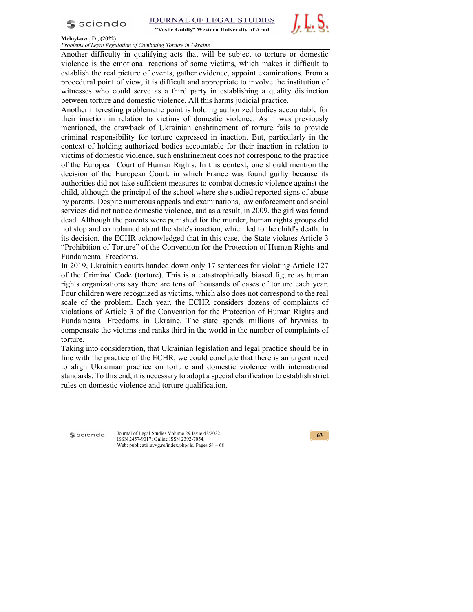$s$  sciendo



"Vasile Goldiș" Western University of Arad



### Melnykova, D., (2022)

Problems of Legal Regulation of Combating Torture in Ukraine

Another difficulty in qualifying acts that will be subject to torture or domestic violence is the emotional reactions of some victims, which makes it difficult to establish the real picture of events, gather evidence, appoint examinations. From a procedural point of view, it is difficult and appropriate to involve the institution of witnesses who could serve as a third party in establishing a quality distinction between torture and domestic violence. All this harms judicial practice.

Another interesting problematic point is holding authorized bodies accountable for their inaction in relation to victims of domestic violence. As it was previously mentioned, the drawback of Ukrainian enshrinement of torture fails to provide criminal responsibility for torture expressed in inaction. But, particularly in the context of holding authorized bodies accountable for their inaction in relation to victims of domestic violence, such enshrinement does not correspond to the practice of the European Court of Human Rights. In this context, one should mention the decision of the European Court, in which France was found guilty because its authorities did not take sufficient measures to combat domestic violence against the child, although the principal of the school where she studied reported signs of abuse by parents. Despite numerous appeals and examinations, law enforcement and social services did not notice domestic violence, and as a result, in 2009, the girl was found dead. Although the parents were punished for the murder, human rights groups did not stop and complained about the state's inaction, which led to the child's death. In its decision, the ECHR acknowledged that in this case, the State violates Article 3 "Prohibition of Torture" of the Convention for the Protection of Human Rights and Fundamental Freedoms.

In 2019, Ukrainian courts handed down only 17 sentences for violating Article 127 of the Criminal Code (torture). This is a catastrophically biased figure as human rights organizations say there are tens of thousands of cases of torture each year. Four children were recognized as victims, which also does not correspond to the real scale of the problem. Each year, the ECHR considers dozens of complaints of violations of Article 3 of the Convention for the Protection of Human Rights and Fundamental Freedoms in Ukraine. The state spends millions of hryvnias to compensate the victims and ranks third in the world in the number of complaints of torture.

Taking into consideration, that Ukrainian legislation and legal practice should be in line with the practice of the ECHR, we could conclude that there is an urgent need to align Ukrainian practice on torture and domestic violence with international standards. To this end, it is necessary to adopt a special clarification to establish strict rules on domestic violence and torture qualification.

 $s$  sciendo

Journal of Legal Studies Volume 29 Issue 43/2022 ISSN 2457-9017; Online ISSN 2392-7054. Web: publicatii.uvvg.ro/index.php/jls. Pages 54 – 68

 $63$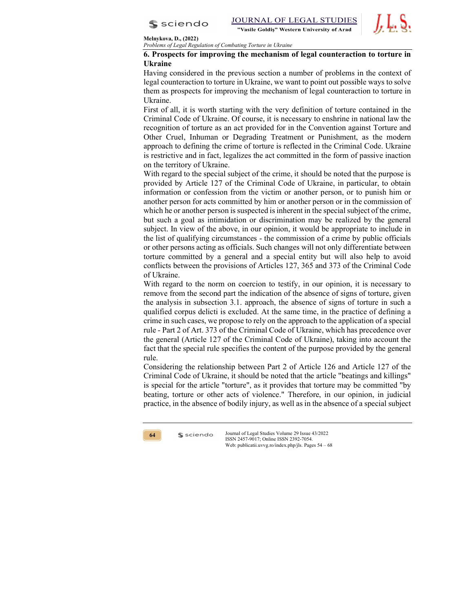

Problems of Legal Regulation of Combating Torture in Ukraine

## 6. Prospects for improving the mechanism of legal counteraction to torture in Ukraine

Having considered in the previous section a number of problems in the context of legal counteraction to torture in Ukraine, we want to point out possible ways to solve them as prospects for improving the mechanism of legal counteraction to torture in Ukraine.

First of all, it is worth starting with the very definition of torture contained in the Criminal Code of Ukraine. Of course, it is necessary to enshrine in national law the recognition of torture as an act provided for in the Convention against Torture and Other Cruel, Inhuman or Degrading Treatment or Punishment, as the modern approach to defining the crime of torture is reflected in the Criminal Code. Ukraine is restrictive and in fact, legalizes the act committed in the form of passive inaction on the territory of Ukraine.

With regard to the special subject of the crime, it should be noted that the purpose is provided by Article 127 of the Criminal Code of Ukraine, in particular, to obtain information or confession from the victim or another person, or to punish him or another person for acts committed by him or another person or in the commission of which he or another person is suspected is inherent in the special subject of the crime, but such a goal as intimidation or discrimination may be realized by the general subject. In view of the above, in our opinion, it would be appropriate to include in the list of qualifying circumstances - the commission of a crime by public officials or other persons acting as officials. Such changes will not only differentiate between torture committed by a general and a special entity but will also help to avoid conflicts between the provisions of Articles 127, 365 and 373 of the Criminal Code of Ukraine.

With regard to the norm on coercion to testify, in our opinion, it is necessary to remove from the second part the indication of the absence of signs of torture, given the analysis in subsection 3.1. approach, the absence of signs of torture in such a qualified corpus delicti is excluded. At the same time, in the practice of defining a crime in such cases, we propose to rely on the approach to the application of a special rule - Part 2 of Art. 373 of the Criminal Code of Ukraine, which has precedence over the general (Article 127 of the Criminal Code of Ukraine), taking into account the fact that the special rule specifies the content of the purpose provided by the general rule.

Considering the relationship between Part 2 of Article 126 and Article 127 of the Criminal Code of Ukraine, it should be noted that the article "beatings and killings" is special for the article "torture", as it provides that torture may be committed "by beating, torture or other acts of violence." Therefore, in our opinion, in judicial practice, in the absence of bodily injury, as well as in the absence of a special subject

64 Ssciendo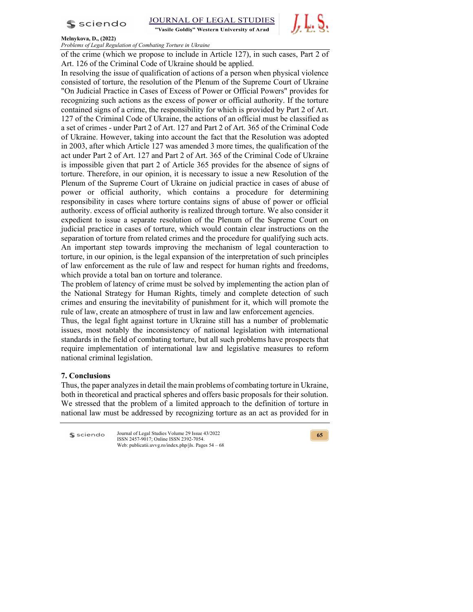

"Vasile Goldiș" Western University of Arad



#### Melnykova, D., (2022)

Problems of Legal Regulation of Combating Torture in Ukraine

of the crime (which we propose to include in Article 127), in such cases, Part 2 of Art. 126 of the Criminal Code of Ukraine should be applied.

In resolving the issue of qualification of actions of a person when physical violence consisted of torture, the resolution of the Plenum of the Supreme Court of Ukraine "On Judicial Practice in Cases of Excess of Power or Official Powers" provides for recognizing such actions as the excess of power or official authority. If the torture contained signs of a crime, the responsibility for which is provided by Part 2 of Art. 127 of the Criminal Code of Ukraine, the actions of an official must be classified as a set of crimes - under Part 2 of Art. 127 and Part 2 of Art. 365 of the Criminal Code of Ukraine. However, taking into account the fact that the Resolution was adopted in 2003, after which Article 127 was amended 3 more times, the qualification of the act under Part 2 of Art. 127 and Part 2 of Art. 365 of the Criminal Code of Ukraine is impossible given that part 2 of Article 365 provides for the absence of signs of torture. Therefore, in our opinion, it is necessary to issue a new Resolution of the Plenum of the Supreme Court of Ukraine on judicial practice in cases of abuse of power or official authority, which contains a procedure for determining responsibility in cases where torture contains signs of abuse of power or official authority. excess of official authority is realized through torture. We also consider it expedient to issue a separate resolution of the Plenum of the Supreme Court on judicial practice in cases of torture, which would contain clear instructions on the separation of torture from related crimes and the procedure for qualifying such acts. An important step towards improving the mechanism of legal counteraction to torture, in our opinion, is the legal expansion of the interpretation of such principles of law enforcement as the rule of law and respect for human rights and freedoms, which provide a total ban on torture and tolerance.

The problem of latency of crime must be solved by implementing the action plan of the National Strategy for Human Rights, timely and complete detection of such crimes and ensuring the inevitability of punishment for it, which will promote the rule of law, create an atmosphere of trust in law and law enforcement agencies.

Thus, the legal fight against torture in Ukraine still has a number of problematic issues, most notably the inconsistency of national legislation with international standards in the field of combating torture, but all such problems have prospects that require implementation of international law and legislative measures to reform national criminal legislation.

## 7. Conclusions

Thus, the paper analyzes in detail the main problems of combating torture in Ukraine, both in theoretical and practical spheres and offers basic proposals for their solution. We stressed that the problem of a limited approach to the definition of torture in national law must be addressed by recognizing torture as an act as provided for in

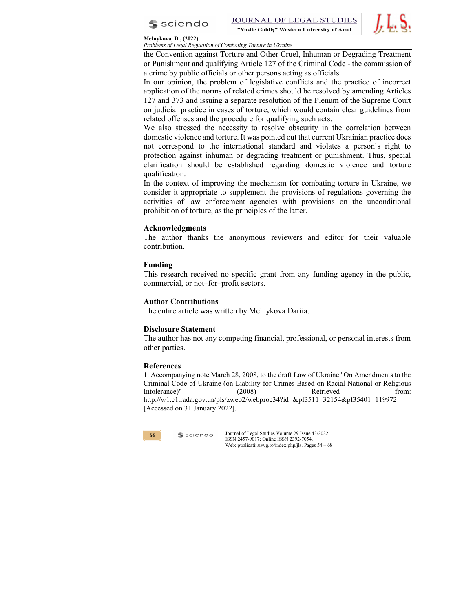



Problems of Legal Regulation of Combating Torture in Ukraine

the Convention against Torture and Other Cruel, Inhuman or Degrading Treatment or Punishment and qualifying Article 127 of the Criminal Code - the commission of a crime by public officials or other persons acting as officials.

In our opinion, the problem of legislative conflicts and the practice of incorrect application of the norms of related crimes should be resolved by amending Articles 127 and 373 and issuing a separate resolution of the Plenum of the Supreme Court on judicial practice in cases of torture, which would contain clear guidelines from related offenses and the procedure for qualifying such acts.

We also stressed the necessity to resolve obscurity in the correlation between domestic violence and torture. It was pointed out that current Ukrainian practice does not correspond to the international standard and violates a person`s right to protection against inhuman or degrading treatment or punishment. Thus, special clarification should be established regarding domestic violence and torture qualification.

In the context of improving the mechanism for combating torture in Ukraine, we consider it appropriate to supplement the provisions of regulations governing the activities of law enforcement agencies with provisions on the unconditional prohibition of torture, as the principles of the latter.

## Acknowledgments

The author thanks the anonymous reviewers and editor for their valuable contribution.

## Funding

This research received no specific grant from any funding agency in the public, commercial, or not–for–profit sectors.

## Author Contributions

The entire article was written by Melnykova Dariia.

## Disclosure Statement

The author has not any competing financial, professional, or personal interests from other parties.

## References

1. Accompanying note March 28, 2008, to the draft Law of Ukraine "On Amendments to the Criminal Code of Ukraine (on Liability for Crimes Based on Racial National or Religious Intolerance)" (2008) Retrieved from: http://w1.c1.rada.gov.ua/pls/zweb2/webproc34?id=&pf3511=32154&pf35401=119972 [Accessed on 31 January 2022].

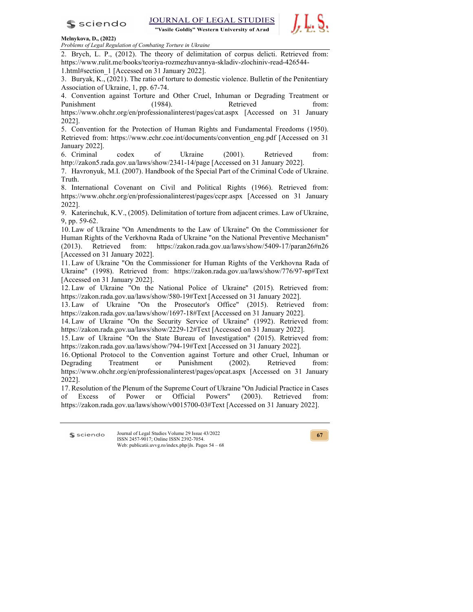

"Vasile Goldiș" Western University of Arad



#### Melnykova, D., (2022)

Problems of Legal Regulation of Combating Torture in Ukraine

2. Brych, L. P., (2012). The theory of delimitation of corpus delicti. Retrieved from: https://www.rulit.me/books/teoriya-rozmezhuvannya-skladiv-zlochiniv-read-426544- 1.html#section\_1 [Accessed on 31 January 2022].

3. Buryak, K., (2021). The ratio of torture to domestic violence. Bulletin of the Penitentiary Association of Ukraine, 1, pp. 67-74.

4. Convention against Torture and Other Cruel, Inhuman or Degrading Treatment or Punishment (1984). Retrieved from: https://www.ohchr.org/en/professionalinterest/pages/cat.aspx [Accessed on 31 January

2022].

5. Convention for the Protection of Human Rights and Fundamental Freedoms (1950). Retrieved from: https://www.echr.coe.int/documents/convention\_eng.pdf [Accessed on 31 January 2022].

6. Criminal codex of Ukraine (2001). Retrieved from: http://zakon5.rada.gov.ua/laws/show/2341-14/page [Accessed on 31 January 2022].

7. Havronyuk, M.I. (2007). Handbook of the Special Part of the Criminal Code of Ukraine. Truth.

8. International Covenant on Civil and Political Rights (1966). Retrieved from: https://www.ohchr.org/en/professionalinterest/pages/ccpr.aspx [Accessed on 31 January 2022].

9. Katerinchuk, K.V., (2005). Delimitation of torture from adjacent crimes. Law of Ukraine, 9, pp. 59-62.

10. Law of Ukraine "On Amendments to the Law of Ukraine" On the Commissioner for Human Rights of the Verkhovna Rada of Ukraine "on the National Preventive Mechanism" (2013). Retrieved from: https://zakon.rada.gov.ua/laws/show/5409-17/paran26#n26 [Accessed on 31 January 2022].

11. Law of Ukraine "On the Commissioner for Human Rights of the Verkhovna Rada of Ukraine" (1998). Retrieved from: https://zakon.rada.gov.ua/laws/show/776/97-вр#Text [Accessed on 31 January 2022].

12. Law of Ukraine "On the National Police of Ukraine" (2015). Retrieved from: https://zakon.rada.gov.ua/laws/show/580-19#Text [Accessed on 31 January 2022].

13. Law of Ukraine "On the Prosecutor's Office" (2015). Retrieved from: https://zakon.rada.gov.ua/laws/show/1697-18#Text [Accessed on 31 January 2022].

14. Law of Ukraine "On the Security Service of Ukraine" (1992). Retrieved from: https://zakon.rada.gov.ua/laws/show/2229-12#Text [Accessed on 31 January 2022].

15. Law of Ukraine "On the State Bureau of Investigation" (2015). Retrieved from: https://zakon.rada.gov.ua/laws/show/794-19#Text [Accessed on 31 January 2022].

16. Optional Protocol to the Convention against Torture and other Cruel, Inhuman or Degrading Treatment or Punishment (2002). Retrieved from: https://www.ohchr.org/en/professionalinterest/pages/opcat.aspx [Accessed on 31 January 2022].

17. Resolution of the Plenum of the Supreme Court of Ukraine "On Judicial Practice in Cases of Excess of Power or Official Powers" (2003). Retrieved from: https://zakon.rada.gov.ua/laws/show/v0015700-03#Text [Accessed on 31 January 2022].

\$ sciendo

Journal of Legal Studies Volume 29 Issue 43/2022 ISSN 2457-9017; Online ISSN 2392-7054. Web: publicatii.uvvg.ro/index.php/jls. Pages 54 – 68

**67 a**